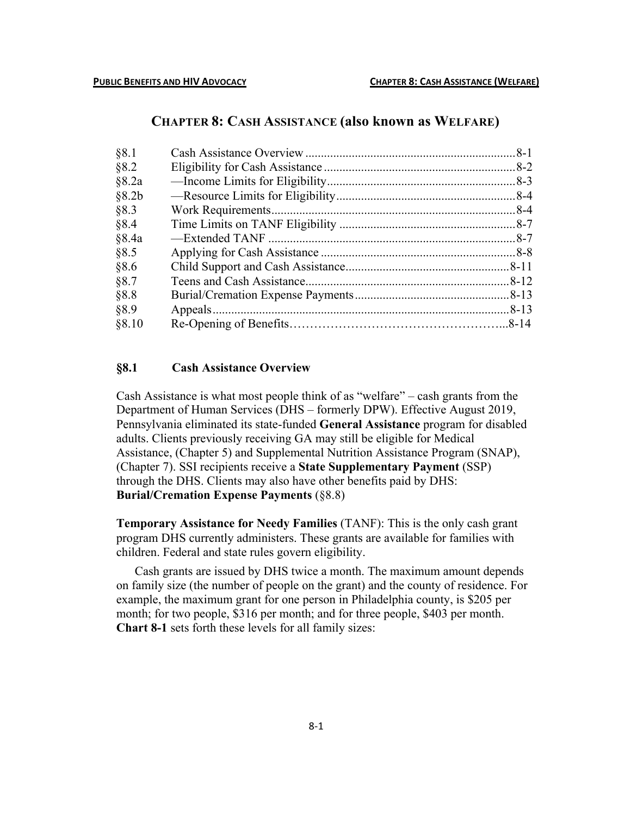# **CHAPTER 8: CASH ASSISTANCE (also known as WELFARE)**

# **§8.1 Cash Assistance Overview**

Cash Assistance is what most people think of as "welfare" – cash grants from the Department of Human Services (DHS – formerly DPW). Effective August 2019, Pennsylvania eliminated its state-funded **General Assistance** program for disabled adults. Clients previously receiving GA may still be eligible for Medical Assistance, (Chapter 5) and Supplemental Nutrition Assistance Program (SNAP), (Chapter 7). SSI recipients receive a **State Supplementary Payment** (SSP) through the DHS. Clients may also have other benefits paid by DHS: **Burial/Cremation Expense Payments** (§8.8)

**Temporary Assistance for Needy Families** (TANF): This is the only cash grant program DHS currently administers. These grants are available for families with children. Federal and state rules govern eligibility.

Cash grants are issued by DHS twice a month. The maximum amount depends on family size (the number of people on the grant) and the county of residence. For example, the maximum grant for one person in Philadelphia county, is \$205 per month; for two people, \$316 per month; and for three people, \$403 per month. **Chart 8-1** sets forth these levels for all family sizes: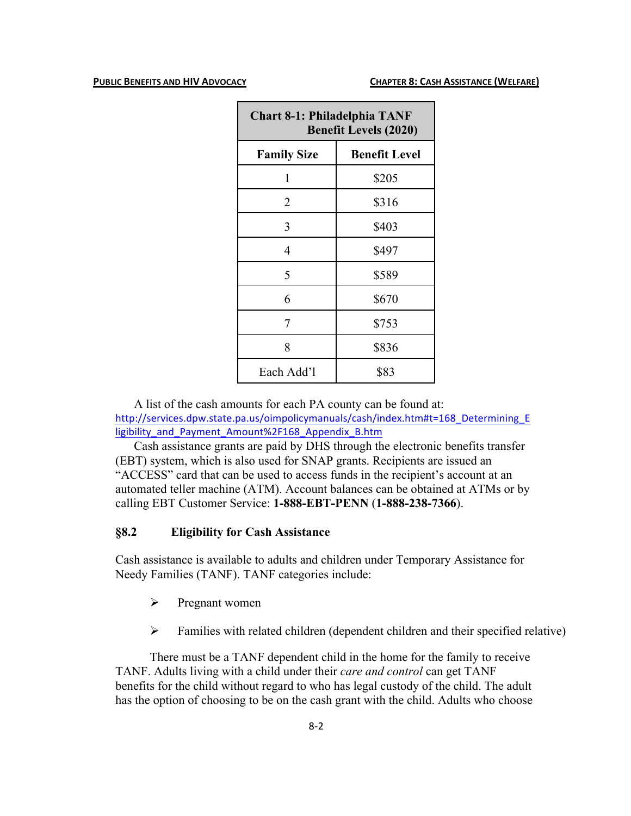| <b>Chart 8-1: Philadelphia TANF</b><br><b>Benefit Levels (2020)</b> |                      |  |
|---------------------------------------------------------------------|----------------------|--|
| <b>Family Size</b>                                                  | <b>Benefit Level</b> |  |
| 1                                                                   | \$205                |  |
| 2                                                                   | \$316                |  |
| 3                                                                   | \$403                |  |
| 4                                                                   | \$497                |  |
| 5                                                                   | \$589                |  |
| 6                                                                   | \$670                |  |
| 7                                                                   | \$753                |  |
| 8                                                                   | \$836                |  |
| Each Add'l                                                          | \$83                 |  |

A list of the cash amounts for each PA county can be found at: http://services.dpw.state.pa.us/oimpolicymanuals/cash/index.htm#t=168\_Determining\_E ligibility\_and\_Payment\_Amount%2F168\_Appendix\_B.htm

Cash assistance grants are paid by DHS through the electronic benefits transfer (EBT) system, which is also used for SNAP grants. Recipients are issued an "ACCESS" card that can be used to access funds in the recipient's account at an automated teller machine (ATM). Account balances can be obtained at ATMs or by calling EBT Customer Service: **1-888-EBT-PENN** (**1-888-238-7366**).

### **§8.2 Eligibility for Cash Assistance**

Cash assistance is available to adults and children under Temporary Assistance for Needy Families (TANF). TANF categories include:

- $\triangleright$  Pregnant women
- $\triangleright$  Families with related children (dependent children and their specified relative)

There must be a TANF dependent child in the home for the family to receive TANF. Adults living with a child under their *care and control* can get TANF benefits for the child without regard to who has legal custody of the child. The adult has the option of choosing to be on the cash grant with the child. Adults who choose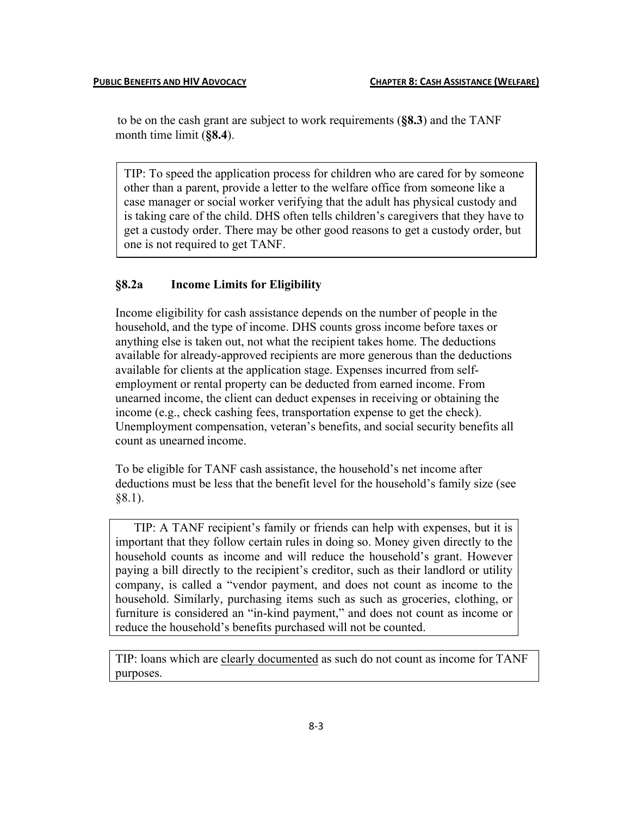to be on the cash grant are subject to work requirements (**§8.3**) and the TANF month time limit (**§8.4**).

TIP: To speed the application process for children who are cared for by someone other than a parent, provide a letter to the welfare office from someone like a case manager or social worker verifying that the adult has physical custody and is taking care of the child. DHS often tells children's caregivers that they have to get a custody order. There may be other good reasons to get a custody order, but one is not required to get TANF.

## **§8.2a Income Limits for Eligibility**

Income eligibility for cash assistance depends on the number of people in the household, and the type of income. DHS counts gross income before taxes or anything else is taken out, not what the recipient takes home. The deductions available for already-approved recipients are more generous than the deductions available for clients at the application stage. Expenses incurred from selfemployment or rental property can be deducted from earned income. From unearned income, the client can deduct expenses in receiving or obtaining the income (e.g., check cashing fees, transportation expense to get the check). Unemployment compensation, veteran's benefits, and social security benefits all count as unearned income.

To be eligible for TANF cash assistance, the household's net income after deductions must be less that the benefit level for the household's family size (see §8.1).

TIP: A TANF recipient's family or friends can help with expenses, but it is important that they follow certain rules in doing so. Money given directly to the household counts as income and will reduce the household's grant. However paying a bill directly to the recipient's creditor, such as their landlord or utility company, is called a "vendor payment, and does not count as income to the household. Similarly, purchasing items such as such as groceries, clothing, or furniture is considered an "in-kind payment," and does not count as income or reduce the household's benefits purchased will not be counted.

TIP: loans which are clearly documented as such do not count as income for TANF purposes.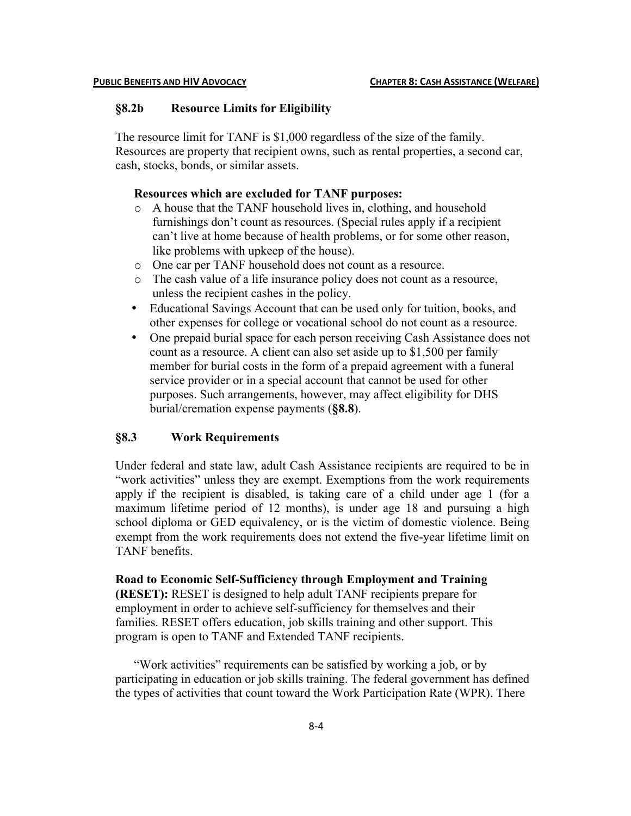### **§8.2b Resource Limits for Eligibility**

The resource limit for TANF is \$1,000 regardless of the size of the family. Resources are property that recipient owns, such as rental properties, a second car, cash, stocks, bonds, or similar assets.

### **Resources which are excluded for TANF purposes:**

- o A house that the TANF household lives in, clothing, and household furnishings don't count as resources. (Special rules apply if a recipient can't live at home because of health problems, or for some other reason, like problems with upkeep of the house).
- o One car per TANF household does not count as a resource.
- o The cash value of a life insurance policy does not count as a resource, unless the recipient cashes in the policy.
- Educational Savings Account that can be used only for tuition, books, and other expenses for college or vocational school do not count as a resource.
- One prepaid burial space for each person receiving Cash Assistance does not count as a resource. A client can also set aside up to \$1,500 per family member for burial costs in the form of a prepaid agreement with a funeral service provider or in a special account that cannot be used for other purposes. Such arrangements, however, may affect eligibility for DHS burial/cremation expense payments (**§8.8**).

## **§8.3 Work Requirements**

Under federal and state law, adult Cash Assistance recipients are required to be in "work activities" unless they are exempt. Exemptions from the work requirements apply if the recipient is disabled, is taking care of a child under age 1 (for a maximum lifetime period of 12 months), is under age 18 and pursuing a high school diploma or GED equivalency, or is the victim of domestic violence. Being exempt from the work requirements does not extend the five-year lifetime limit on TANF benefits.

**Road to Economic Self-Sufficiency through Employment and Training (RESET):** RESET is designed to help adult TANF recipients prepare for employment in order to achieve self-sufficiency for themselves and their families. RESET offers education, job skills training and other support. This program is open to TANF and Extended TANF recipients.

"Work activities" requirements can be satisfied by working a job, or by participating in education or job skills training. The federal government has defined the types of activities that count toward the Work Participation Rate (WPR). There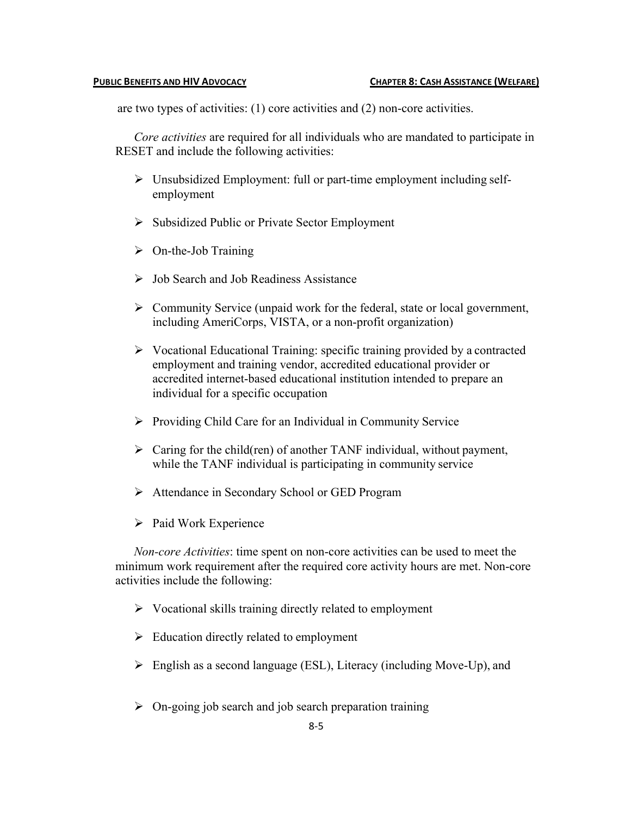are two types of activities: (1) core activities and (2) non-core activities.

*Core activities* are required for all individuals who are mandated to participate in RESET and include the following activities:

- $\triangleright$  Unsubsidized Employment: full or part-time employment including selfemployment
- Ø Subsidized Public or Private Sector Employment
- $\triangleright$  On-the-Job Training
- $\triangleright$  Job Search and Job Readiness Assistance
- $\triangleright$  Community Service (unpaid work for the federal, state or local government, including AmeriCorps, VISTA, or a non-profit organization)
- $\triangleright$  Vocational Educational Training: specific training provided by a contracted employment and training vendor, accredited educational provider or accredited internet-based educational institution intended to prepare an individual for a specific occupation
- $\triangleright$  Providing Child Care for an Individual in Community Service
- $\triangleright$  Caring for the child(ren) of another TANF individual, without payment, while the TANF individual is participating in community service
- Ø Attendance in Secondary School or GED Program
- $\triangleright$  Paid Work Experience

*Non-core Activities*: time spent on non-core activities can be used to meet the minimum work requirement after the required core activity hours are met. Non-core activities include the following:

- $\triangleright$  Vocational skills training directly related to employment
- $\triangleright$  Education directly related to employment
- $\triangleright$  English as a second language (ESL), Literacy (including Move-Up), and
- $\triangleright$  On-going job search and job search preparation training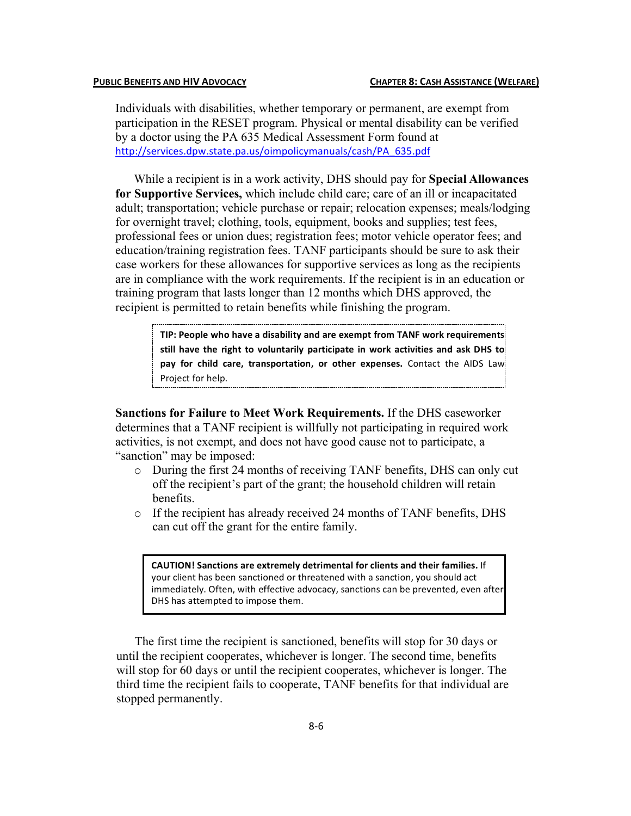Individuals with disabilities, whether temporary or permanent, are exempt from participation in the RESET program. Physical or mental disability can be verified by a doctor using the PA 635 Medical Assessment Form found at http://services.dpw.state.pa.us/oimpolicymanuals/cash/PA\_635.pdf

While a recipient is in a work activity, DHS should pay for **Special Allowances for Supportive Services,** which include child care; care of an ill or incapacitated adult; transportation; vehicle purchase or repair; relocation expenses; meals/lodging for overnight travel; clothing, tools, equipment, books and supplies; test fees, professional fees or union dues; registration fees; motor vehicle operator fees; and education/training registration fees. TANF participants should be sure to ask their case workers for these allowances for supportive services as long as the recipients are in compliance with the work requirements. If the recipient is in an education or training program that lasts longer than 12 months which DHS approved, the recipient is permitted to retain benefits while finishing the program.

> TIP: People who have a disability and are exempt from TANF work requirements still have the right to voluntarily participate in work activities and ask DHS to pay for child care, transportation, or other expenses. Contact the AIDS Law Project for help.

**Sanctions for Failure to Meet Work Requirements.** If the DHS caseworker determines that a TANF recipient is willfully not participating in required work activities, is not exempt, and does not have good cause not to participate, a "sanction" may be imposed:

- o During the first 24 months of receiving TANF benefits, DHS can only cut off the recipient's part of the grant; the household children will retain benefits.
- o If the recipient has already received 24 months of TANF benefits, DHS can cut off the grant for the entire family.

**CAUTION! Sanctions are extremely detrimental for clients and their families.** If your client has been sanctioned or threatened with a sanction, you should act immediately. Often, with effective advocacy, sanctions can be prevented, even after DHS has attempted to impose them.

The first time the recipient is sanctioned, benefits will stop for 30 days or until the recipient cooperates, whichever is longer. The second time, benefits will stop for 60 days or until the recipient cooperates, whichever is longer. The third time the recipient fails to cooperate, TANF benefits for that individual are stopped permanently.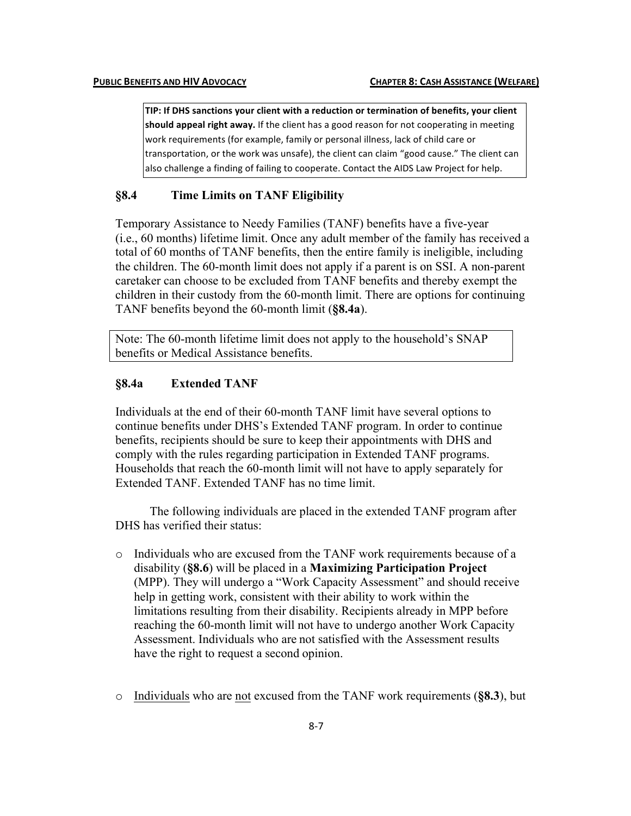TIP: If DHS sanctions your client with a reduction or termination of benefits, your client should appeal right away. If the client has a good reason for not cooperating in meeting work requirements (for example, family or personal illness, lack of child care or transportation, or the work was unsafe), the client can claim "good cause." The client can also challenge a finding of failing to cooperate. Contact the AIDS Law Project for help.

# **§8.4 Time Limits on TANF Eligibility**

Temporary Assistance to Needy Families (TANF) benefits have a five-year (i.e., 60 months) lifetime limit. Once any adult member of the family has received a total of 60 months of TANF benefits, then the entire family is ineligible, including the children. The 60-month limit does not apply if a parent is on SSI. A non-parent caretaker can choose to be excluded from TANF benefits and thereby exempt the children in their custody from the 60-month limit. There are options for continuing TANF benefits beyond the 60-month limit (**§8.4a**).

Note: The 60-month lifetime limit does not apply to the household's SNAP benefits or Medical Assistance benefits.

### **§8.4a Extended TANF**

Individuals at the end of their 60-month TANF limit have several options to continue benefits under DHS's Extended TANF program. In order to continue benefits, recipients should be sure to keep their appointments with DHS and comply with the rules regarding participation in Extended TANF programs. Households that reach the 60-month limit will not have to apply separately for Extended TANF. Extended TANF has no time limit.

The following individuals are placed in the extended TANF program after DHS has verified their status:

- o Individuals who are excused from the TANF work requirements because of a disability (**§8.6**) will be placed in a **Maximizing Participation Project** (MPP). They will undergo a "Work Capacity Assessment" and should receive help in getting work, consistent with their ability to work within the limitations resulting from their disability. Recipients already in MPP before reaching the 60-month limit will not have to undergo another Work Capacity Assessment. Individuals who are not satisfied with the Assessment results have the right to request a second opinion.
- o Individuals who are not excused from the TANF work requirements (**§8.3**), but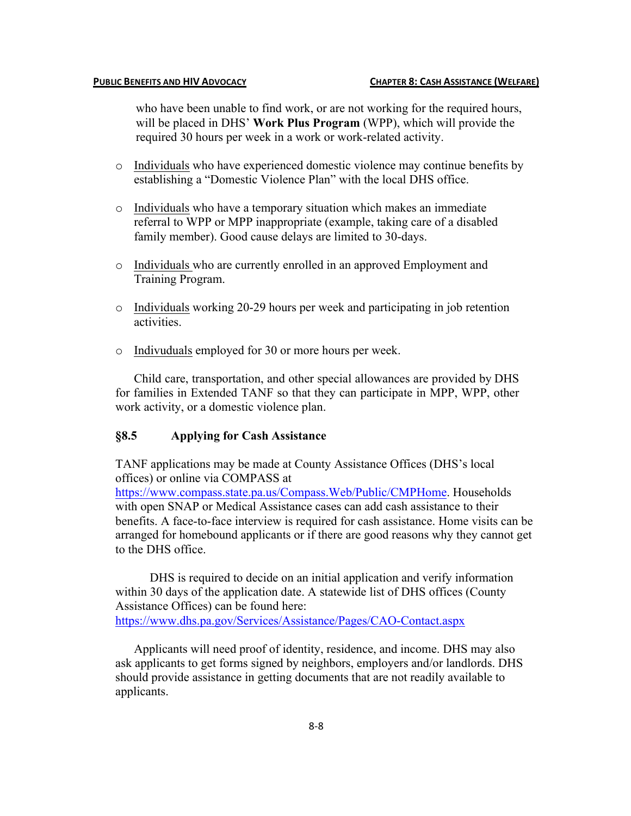who have been unable to find work, or are not working for the required hours, will be placed in DHS' **Work Plus Program** (WPP), which will provide the required 30 hours per week in a work or work-related activity.

- o Individuals who have experienced domestic violence may continue benefits by establishing a "Domestic Violence Plan" with the local DHS office.
- o Individuals who have a temporary situation which makes an immediate referral to WPP or MPP inappropriate (example, taking care of a disabled family member). Good cause delays are limited to 30-days.
- o Individuals who are currently enrolled in an approved Employment and Training Program.
- o Individuals working 20-29 hours per week and participating in job retention activities.
- o Indivuduals employed for 30 or more hours per week.

Child care, transportation, and other special allowances are provided by DHS for families in Extended TANF so that they can participate in MPP, WPP, other work activity, or a domestic violence plan.

# **§8.5 Applying for Cash Assistance**

to the DHS office.

TANF applications may be made at County Assistance Offices (DHS's local offices) or online via COMPASS at https://www.compass.state.pa.us/Compass.Web/Public/CMPHome. Households with open SNAP or Medical Assistance cases can add cash assistance to their benefits. A face-to-face interview is required for cash assistance. Home visits can be arranged for homebound applicants or if there are good reasons why they cannot get

DHS is required to decide on an initial application and verify information within 30 days of the application date. A statewide list of DHS offices (County Assistance Offices) can be found here: https://www.dhs.pa.gov/Services/Assistance/Pages/CAO-Contact.aspx

Applicants will need proof of identity, residence, and income. DHS may also ask applicants to get forms signed by neighbors, employers and/or landlords. DHS should provide assistance in getting documents that are not readily available to applicants.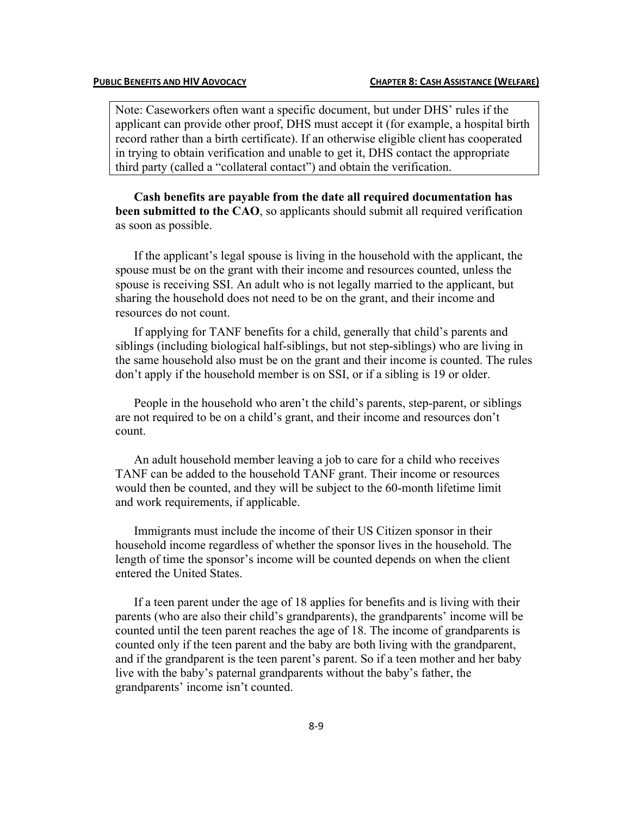Note: Caseworkers often want a specific document, but under DHS' rules if the applicant can provide other proof, DHS must accept it (for example, a hospital birth record rather than a birth certificate). If an otherwise eligible client has cooperated in trying to obtain verification and unable to get it, DHS contact the appropriate third party (called a "collateral contact") and obtain the verification.

**Cash benefits are payable from the date all required documentation has been submitted to the CAO**, so applicants should submit all required verification as soon as possible.

If the applicant's legal spouse is living in the household with the applicant, the spouse must be on the grant with their income and resources counted, unless the spouse is receiving SSI. An adult who is not legally married to the applicant, but sharing the household does not need to be on the grant, and their income and resources do not count.

If applying for TANF benefits for a child, generally that child's parents and siblings (including biological half-siblings, but not step-siblings) who are living in the same household also must be on the grant and their income is counted. The rules don't apply if the household member is on SSI, or if a sibling is 19 or older.

People in the household who aren't the child's parents, step-parent, or siblings are not required to be on a child's grant, and their income and resources don't count.

An adult household member leaving a job to care for a child who receives TANF can be added to the household TANF grant. Their income or resources would then be counted, and they will be subject to the 60-month lifetime limit and work requirements, if applicable.

Immigrants must include the income of their US Citizen sponsor in their household income regardless of whether the sponsor lives in the household. The length of time the sponsor's income will be counted depends on when the client entered the United States.

If a teen parent under the age of 18 applies for benefits and is living with their parents (who are also their child's grandparents), the grandparents' income will be counted until the teen parent reaches the age of 18. The income of grandparents is counted only if the teen parent and the baby are both living with the grandparent, and if the grandparent is the teen parent's parent. So if a teen mother and her baby live with the baby's paternal grandparents without the baby's father, the grandparents' income isn't counted.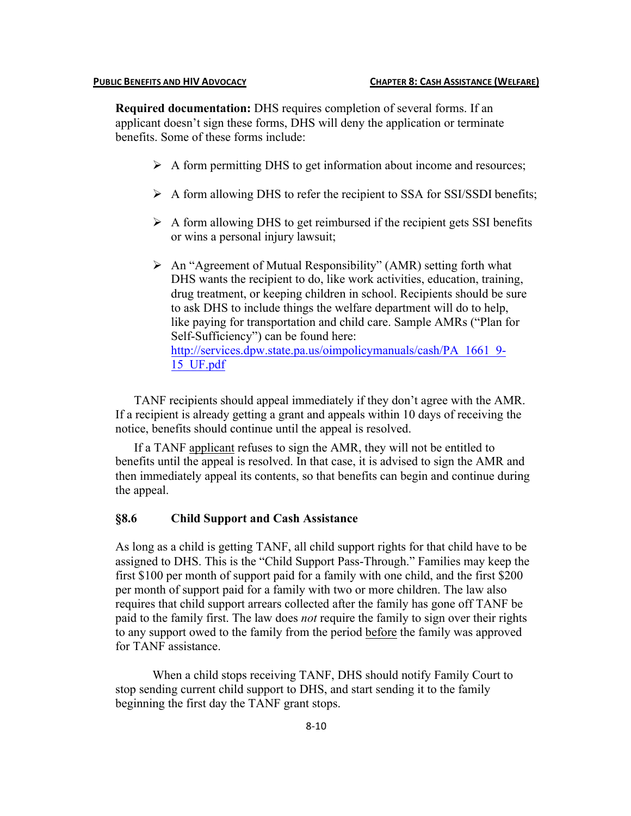**Required documentation:** DHS requires completion of several forms. If an applicant doesn't sign these forms, DHS will deny the application or terminate benefits. Some of these forms include:

- $\triangleright$  A form permitting DHS to get information about income and resources;
- $\triangleright$  A form allowing DHS to refer the recipient to SSA for SSI/SSDI benefits;
- $\triangleright$  A form allowing DHS to get reimbursed if the recipient gets SSI benefits or wins a personal injury lawsuit;
- $\triangleright$  An "Agreement of Mutual Responsibility" (AMR) setting forth what DHS wants the recipient to do, like work activities, education, training, drug treatment, or keeping children in school. Recipients should be sure to ask DHS to include things the welfare department will do to help, like paying for transportation and child care. Sample AMRs ("Plan for Self-Sufficiency") can be found here: http://services.dpw.state.pa.us/oimpolicymanuals/cash/PA\_1661\_9-15\_UF.pdf

TANF recipients should appeal immediately if they don't agree with the AMR. If a recipient is already getting a grant and appeals within 10 days of receiving the notice, benefits should continue until the appeal is resolved.

If a TANF applicant refuses to sign the AMR, they will not be entitled to benefits until the appeal is resolved. In that case, it is advised to sign the AMR and then immediately appeal its contents, so that benefits can begin and continue during the appeal.

## **§8.6 Child Support and Cash Assistance**

As long as a child is getting TANF, all child support rights for that child have to be assigned to DHS. This is the "Child Support Pass-Through." Families may keep the first \$100 per month of support paid for a family with one child, and the first \$200 per month of support paid for a family with two or more children. The law also requires that child support arrears collected after the family has gone off TANF be paid to the family first. The law does *not* require the family to sign over their rights to any support owed to the family from the period before the family was approved for TANF assistance.

When a child stops receiving TANF, DHS should notify Family Court to stop sending current child support to DHS, and start sending it to the family beginning the first day the TANF grant stops.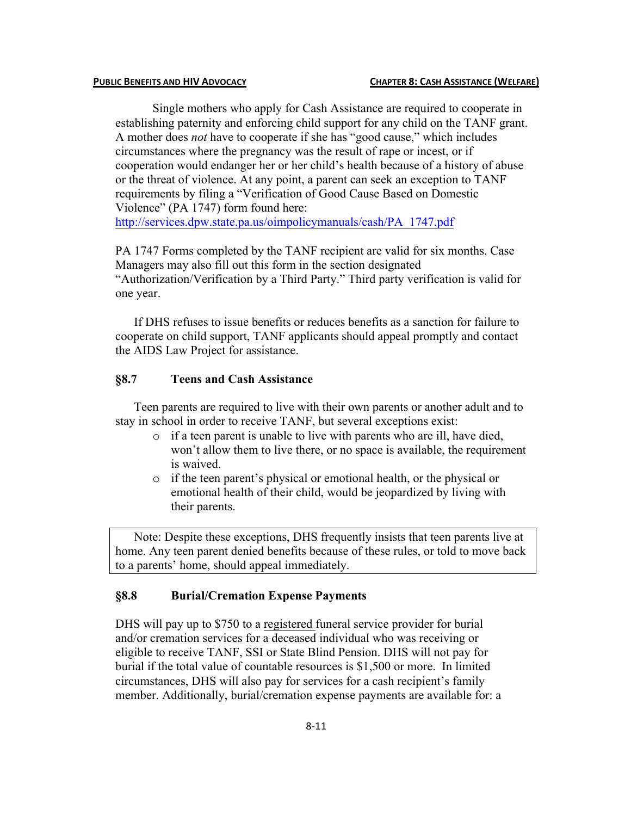### **PUBLIC BENEFITS AND HIV ADVOCACY CHAPTER 8: CASH ASSISTANCE (WELFARE)**

Single mothers who apply for Cash Assistance are required to cooperate in establishing paternity and enforcing child support for any child on the TANF grant. A mother does *not* have to cooperate if she has "good cause," which includes circumstances where the pregnancy was the result of rape or incest, or if cooperation would endanger her or her child's health because of a history of abuse or the threat of violence. At any point, a parent can seek an exception to TANF requirements by filing a "Verification of Good Cause Based on Domestic Violence" (PA 1747) form found here:

http://services.dpw.state.pa.us/oimpolicymanuals/cash/PA\_1747.pdf

PA 1747 Forms completed by the TANF recipient are valid for six months. Case Managers may also fill out this form in the section designated "Authorization/Verification by a Third Party." Third party verification is valid for one year.

If DHS refuses to issue benefits or reduces benefits as a sanction for failure to cooperate on child support, TANF applicants should appeal promptly and contact the AIDS Law Project for assistance.

# **§8.7 Teens and Cash Assistance**

Teen parents are required to live with their own parents or another adult and to stay in school in order to receive TANF, but several exceptions exist:

- o if a teen parent is unable to live with parents who are ill, have died, won't allow them to live there, or no space is available, the requirement is waived.
- o if the teen parent's physical or emotional health, or the physical or emotional health of their child, would be jeopardized by living with their parents.

Note: Despite these exceptions, DHS frequently insists that teen parents live at home. Any teen parent denied benefits because of these rules, or told to move back to a parents' home, should appeal immediately.

# **§8.8 Burial/Cremation Expense Payments**

DHS will pay up to \$750 to a registered funeral service provider for burial and/or cremation services for a deceased individual who was receiving or eligible to receive TANF, SSI or State Blind Pension. DHS will not pay for burial if the total value of countable resources is \$1,500 or more. In limited circumstances, DHS will also pay for services for a cash recipient's family member. Additionally, burial/cremation expense payments are available for: a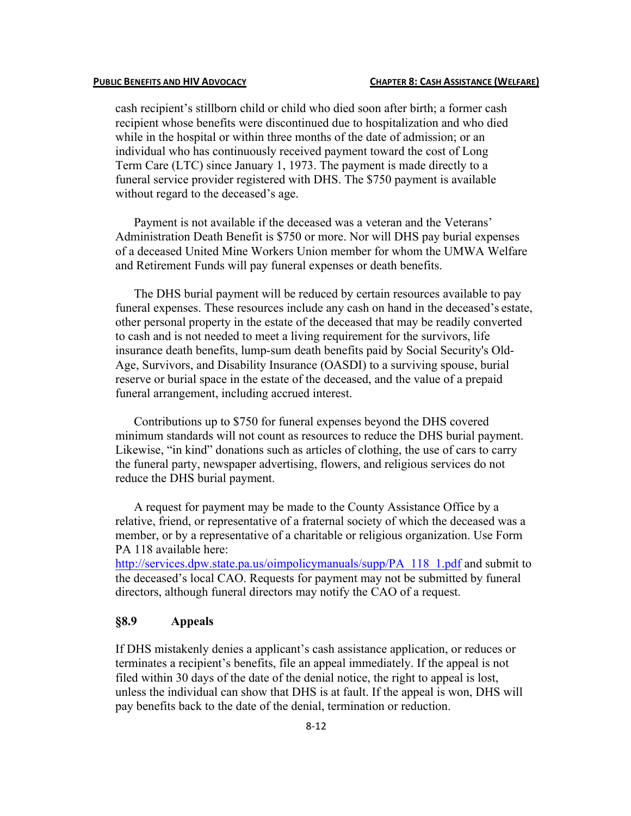cash recipient's stillborn child or child who died soon after birth; a former cash recipient whose benefits were discontinued due to hospitalization and who died while in the hospital or within three months of the date of admission; or an individual who has continuously received payment toward the cost of Long Term Care (LTC) since January 1, 1973. The payment is made directly to a funeral service provider registered with DHS. The \$750 payment is available without regard to the deceased's age.

Payment is not available if the deceased was a veteran and the Veterans' Administration Death Benefit is \$750 or more. Nor will DHS pay burial expenses of a deceased United Mine Workers Union member for whom the UMWA Welfare and Retirement Funds will pay funeral expenses or death benefits.

The DHS burial payment will be reduced by certain resources available to pay funeral expenses. These resources include any cash on hand in the deceased's estate, other personal property in the estate of the deceased that may be readily converted to cash and is not needed to meet a living requirement for the survivors, life insurance death benefits, lump-sum death benefits paid by Social Security's Old-Age, Survivors, and Disability Insurance (OASDI) to a surviving spouse, burial reserve or burial space in the estate of the deceased, and the value of a prepaid funeral arrangement, including accrued interest.

Contributions up to \$750 for funeral expenses beyond the DHS covered minimum standards will not count as resources to reduce the DHS burial payment. Likewise, "in kind" donations such as articles of clothing, the use of cars to carry the funeral party, newspaper advertising, flowers, and religious services do not reduce the DHS burial payment.

A request for payment may be made to the County Assistance Office by a relative, friend, or representative of a fraternal society of which the deceased was a member, or by a representative of a charitable or religious organization. Use Form PA 118 available here:

http://services.dpw.state.pa.us/oimpolicymanuals/supp/PA 118 1.pdf and submit to the deceased's local CAO. Requests for payment may not be submitted by funeral directors, although funeral directors may notify the CAO of a request.

# **§8.9 Appeals**

If DHS mistakenly denies a applicant's cash assistance application, or reduces or terminates a recipient's benefits, file an appeal immediately. If the appeal is not filed within 30 days of the date of the denial notice, the right to appeal is lost, unless the individual can show that DHS is at fault. If the appeal is won, DHS will pay benefits back to the date of the denial, termination or reduction.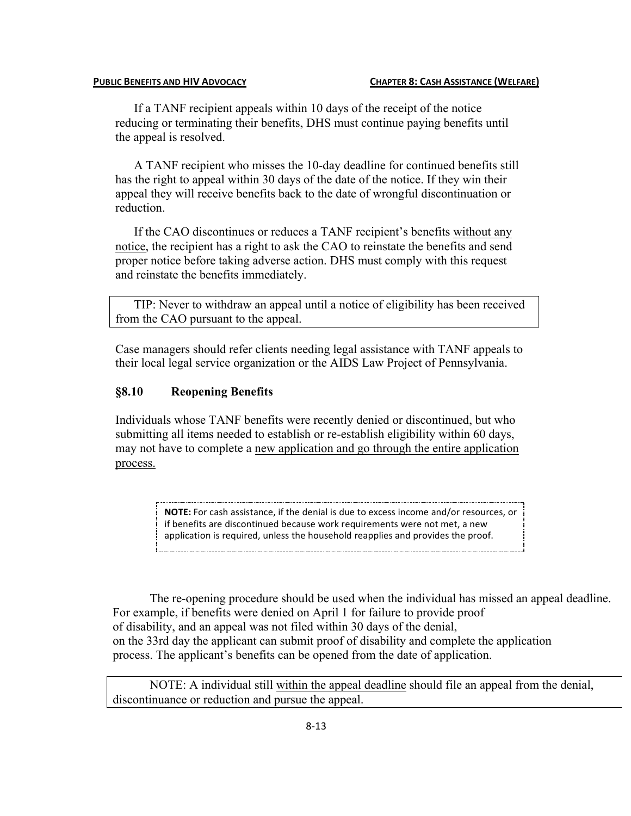### **PUBLIC BENEFITS AND HIV ADVOCACY CHAPTER 8: CASH ASSISTANCE (WELFARE)**

If a TANF recipient appeals within 10 days of the receipt of the notice reducing or terminating their benefits, DHS must continue paying benefits until the appeal is resolved.

A TANF recipient who misses the 10-day deadline for continued benefits still has the right to appeal within 30 days of the date of the notice. If they win their appeal they will receive benefits back to the date of wrongful discontinuation or reduction.

If the CAO discontinues or reduces a TANF recipient's benefits without any notice, the recipient has a right to ask the CAO to reinstate the benefits and send proper notice before taking adverse action. DHS must comply with this request and reinstate the benefits immediately.

TIP: Never to withdraw an appeal until a notice of eligibility has been received from the CAO pursuant to the appeal.

Case managers should refer clients needing legal assistance with TANF appeals to their local legal service organization or the AIDS Law Project of Pennsylvania.

## **§8.10 Reopening Benefits**

Individuals whose TANF benefits were recently denied or discontinued, but who submitting all items needed to establish or re-establish eligibility within 60 days, may not have to complete a new application and go through the entire application process.

> **NOTE:** For cash assistance, if the denial is due to excess income and/or resources, or if benefits are discontinued because work requirements were not met, a new application is required, unless the household reapplies and provides the proof.

The re-opening procedure should be used when the individual has missed an appeal deadline. For example, if benefits were denied on April 1 for failure to provide proof of disability, and an appeal was not filed within 30 days of the denial, on the 33rd day the applicant can submit proof of disability and complete the application process. The applicant's benefits can be opened from the date of application.

NOTE: A individual still within the appeal deadline should file an appeal from the denial, discontinuance or reduction and pursue the appeal.